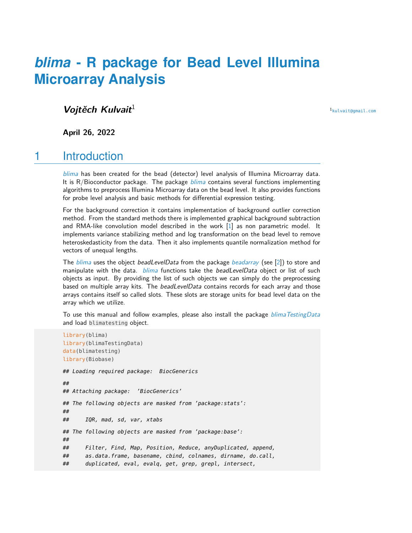# *[blima](http://bioconductor.org/packages/blima)* **- R package for Bead Level Illumina Microarray Analysis**

#### **Vojtěch Kulvait**<sup>1</sup>

<sup>1</sup>[kulvait@gmail.com](mailto:kulvait@gmail.com)

**April 26, 2022**

#### 1 Introduction

[blima](http://bioconductor.org/packages/blima) has been created for the bead (detector) level analysis of Illumina Microarray data. It is  $R/B$ ioconductor package. The package  $blima$  contains several functions implementing algorithms to preprocess Illumina Microarray data on the bead level. It also provides functions for probe level analysis and basic methods for differential expression testing.

For the background correction it contains implementation of background outlier correction method. From the standard methods there is implemented graphical background subtraction and RMA-like convolution model described in the work [\[1\]](#page-8-0) as non parametric model. It implements variance stabilizing method and log transformation on the bead level to remove heteroskedasticity from the data. Then it also implements quantile normalization method for vectors of unequal lengths.

The  $blima$  uses the object beadLevelData from the package [beadarray](http://bioconductor.org/packages/beadarray) (see [\[2\]](#page-8-1)) to store and manipulate with the data. [blima](http://bioconductor.org/packages/blima) functions take the beadLevelData object or list of such objects as input. By providing the list of such objects we can simply do the preprocessing based on multiple array kits. The beadLevelData contains records for each array and those arrays contains itself so called slots. These slots are storage units for bead level data on the array which we utilize.

To use this manual and follow examples, please also install the package [blimaTestingData](http://bioconductor.org/packages/blimaTestingData) and load blimatesting object.

```
library(blima)
library(blimaTestingData)
data(blimatesting)
library(Biobase)
## Loading required package: BiocGenerics
##
## Attaching package: 'BiocGenerics'
## The following objects are masked from 'package:stats':
##
## IQR, mad, sd, var, xtabs
## The following objects are masked from 'package:base':
##
## Filter, Find, Map, Position, Reduce, anyDuplicated, append,
## as.data.frame, basename, cbind, colnames, dirname, do.call,
## duplicated, eval, evalq, get, grep, grepl, intersect,
```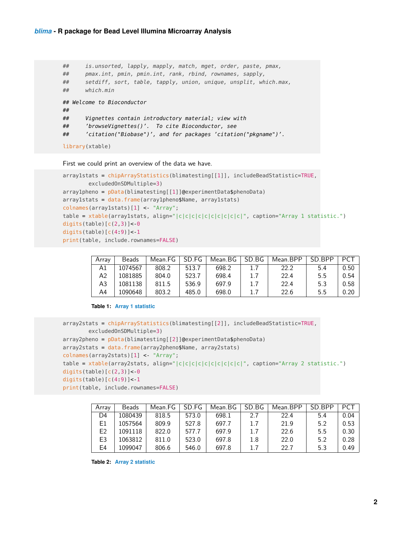```
## is.unsorted, lapply, mapply, match, mget, order, paste, pmax,
## pmax.int, pmin, pmin.int, rank, rbind, rownames, sapply,
## setdiff, sort, table, tapply, union, unique, unsplit, which.max,
## which.min
## Welcome to Bioconductor
##
## Vignettes contain introductory material; view with
## 'browseVignettes()'. To cite Bioconductor, see
## 'citation("Biobase")', and for packages 'citation("pkgname")'.
library(xtable)
```
First we could print an overview of the data we have.

```
array1stats = chipArrayStatistics(blimatesting[[1]], includeBeadStatistic=TRUE,
        excludedOnSDMultiple=3)
array1pheno = pData(blimatesting[[1]]@experimentData$phenoData)
array1stats = data.frame(array1pheno$Name, array1stats)
colnames(array1stats)[1] <- "Array";
table = xtable(array1stats, align="|c|c|c|c|c|c|c|c|c|c|c|", caption="Array 1 statistic.")
digits(table)[c(2,3)]<0digits(table)[c(4:9)]<-1
print(table, include.rownames=FALSE)
```

| Arrav | Beads   | Mean.FG | SD.FG | Mean.BG | SD.BG | Mean.BPP | SD BPP | <b>PCT</b> |
|-------|---------|---------|-------|---------|-------|----------|--------|------------|
| A1.   | 1074567 | 808.2   | 513.7 | 698.2   | 1.7   | 22.2     | 54     | 0.50       |
| А2    | 1081885 | 804.0   | 523.7 | 698.4   | 1.7   | 22.4     | 5.5    | 0.54       |
| A3    | 1081138 | 811.5   | 536.9 | 697.9   | 1.7   | 22.4     | 5.3    | 0.58       |
| A4    | 1090648 | 803.2   | 485.0 | 698.0   | 1.7   | 22.6     | 5.5    | 0.20       |

#### **Table 1: Array 1 statistic**

```
array2stats = chipArrayStatistics(blimatesting[[2]], includeBeadStatistic=TRUE,
        excludedOnSDMultiple=3)
array2pheno = pData(blimatesting[[2]]@experimentData$phenoData)
array2stats = data.frame(array2pheno$Name, array2stats)
colnames(array2stats)[1] <- "Array";
table = xtable(array2stats, align="|c|c|c|c|c|c|c|c|c|c,", caption="Array 2 statistic.")
digits(table)[c(2,3)]<0digits(table)[c(4:9)]<1print(table, include.rownames=FALSE)
```

| Arrav          | <b>Beads</b> | Mean.FG | SD.FG | Mean.BG | SD.BG | Mean.BPP | SD BPP | <b>PCT</b> |
|----------------|--------------|---------|-------|---------|-------|----------|--------|------------|
| D4             | 1080439      | 818.5   | 573.0 | 698.1   | 2.7   | 22.4     | 5.4    | 0.04       |
| E1             | 1057564      | 809.9   | 527.8 | 697.7   | 1.7   | 21.9     | 5.2    | 0.53       |
| E <sub>2</sub> | 1091118      | 822.0   | 577.7 | 697.9   | 1.7   | 22.6     | 5.5    | 0.30       |
| E3             | 1063812      | 811.0   | 523.0 | 697.8   | 1.8   | 22.0     | 5.2    | 0.28       |
| E4             | 1099047      | 806.6   | 546.0 | 697.8   | 1.7   | 22.7     | 5.3    | 0.49       |

**Table 2: Array 2 statistic**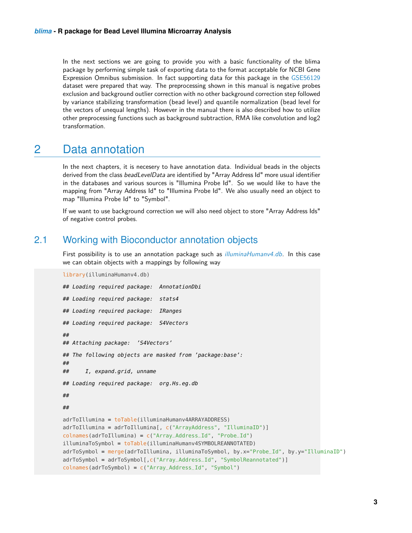In the next sections we are going to provide you with a basic functionality of the blima package by performing simple task of exporting data to the format acceptable for NCBI Gene Expression Omnibus submission. In fact supporting data for this package in the [GSE56129](http://www.ncbi.nlm.nih.gov/geo/query/acc.cgi?acc=GSE56129) dataset were prepared that way. The preprocessing shown in this manual is negative probes exclusion and background outlier correction with no other background correction step followed by variance stabilizing transformation (bead level) and quantile normalization (bead level for the vectors of unequal lengths). However in the manual there is also described how to utilize other preprocessing functions such as background subtraction, RMA like convolution and log2 transformation.

# 2 Data annotation

In the next chapters, it is necesery to have annotation data. Individual beads in the objects derived from the class beadLevelData are identified by "Array Address Id" more usual identifier in the databases and various sources is "Illumina Probe Id". So we would like to have the mapping from "Array Address Id" to "Illumina Probe Id". We also usually need an object to map "Illumina Probe Id" to "Symbol".

If we want to use background correction we will also need object to store "Array Address Ids" of negative control probes.

#### 2.1 Working with Bioconductor annotation objects

First possibility is to use an annotation package such as *[illuminaHumanv4.db](http://bioconductor.org/packages/illuminaHumanv4.db)*. In this case we can obtain objects with a mappings by following way

```
library(illuminaHumanv4.db)
## Loading required package: AnnotationDbi
## Loading required package: stats4
## Loading required package: IRanges
## Loading required package: S4Vectors
##
## Attaching package: 'S4Vectors'
## The following objects are masked from 'package:base':
##
## I, expand.grid, unname
## Loading required package: org.Hs.eg.db
##
##
adrToIllumina = toTable(illuminaHumanv4ARRAYADDRESS)
adrToIllumina = adrToIllumina[, c("ArrayAddress", "IlluminaID")]
colnames(adrToIllumina) = c("Array_Address_Id", "Probe_Id")
illuminaToSymbol = toTable(illuminaHumanv4SYMBOLREANNOTATED)
adrToSymbol = merge(adrToIllumina, illuminaToSymbol, by.x="Probe_Id", by.y="IlluminaID")
adrToSymbol = adrToSymbol[,c("Array_Address_Id", "SymbolReannotated")]
colnames(adrToSymbol) = c("Array_Address_Id", "Symbol")
```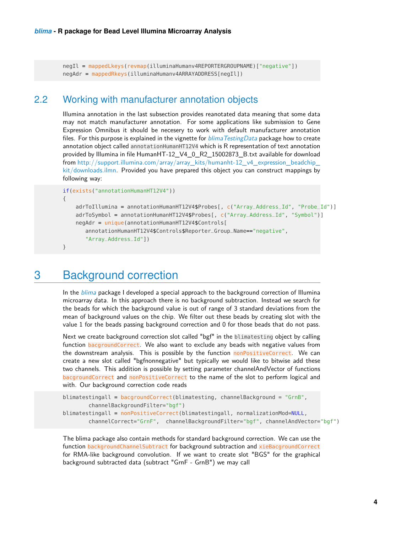negIl = mappedLkeys(revmap(illuminaHumanv4REPORTERGROUPNAME)["negative"]) negAdr = mappedRkeys(illuminaHumanv4ARRAYADDRESS[negIl])

#### 2.2 Working with manufacturer annotation objects

Illumina annotation in the last subsection provides reanotated data meaning that some data may not match manufacturer annotation. For some applications like submission to Gene Expression Omnibus it should be necesery to work with default manufacturer annotation files. For this purpose is explained in the vignette for  $blimaTestingData$  package how to create annotation object called annotationHumanHT12V4 which is R representation of text annotation provided by Illumina in file HumanHT-12\_V4\_0\_R2\_15002873\_B.txt available for download from [http://support.illumina.com/array/array\\_kits/humanht-12\\_v4\\_expression\\_beadchip\\_](http://support.illumina.com/array/array_kits/humanht-12_v4_expression_beadchip_kit/downloads.ilmn) [kit/downloads.ilmn.](http://support.illumina.com/array/array_kits/humanht-12_v4_expression_beadchip_kit/downloads.ilmn) Provided you have prepared this object you can construct mappings by following way:

```
if(exists("annotationHumanHT12V4"))
```
{

```
adrToIllumina = annotationHumanHT12V4$Probes[, c("Array_Address_Id", "Probe_Id")]
adrToSymbol = annotationHumanHT12V4$Probes[, c("Array_Address_Id", "Symbol")]
negAdr = unique(annotationHumanHT12V4$Controls[
   annotationHumanHT12V4$Controls$Reporter_Group_Name=="negative",
   "Array_Address_Id"])
```
}

#### 3 Background correction

In the *[blima](http://bioconductor.org/packages/blima)* package I developed a special approach to the background correction of Illumina microarray data. In this approach there is no background subtraction. Instead we search for the beads for which the background value is out of range of 3 standard deviations from the mean of background values on the chip. We filter out these beads by creating slot with the value 1 for the beads passing background correction and 0 for those beads that do not pass.

Next we create background correction slot called "bgf" in the blimatesting object by calling function bacgroundCorrect. We also want to exclude any beads with negative values from the downstream analysis. This is possible by the function nonPositiveCorrect. We can create a new slot called "bgfnonnegative" but typically we would like to bitwise add these two channels. This addition is possible by setting parameter channelAndVector of functions bacgroundCorrect and nonPositiveCorrect to the name of the slot to perform logical and with. Our background correction code reads

```
blimatestingall = bacgroundCorrect(blimatesting, channelBackground = "GrnB",
        channelBackgroundFilter="bgf")
blimatestingall = nonPositiveCorrect(blimatestingall, normalizationMod=NULL,
        channelCorrect="GrnF", channelBackgroundFilter="bgf", channelAndVector="bgf")
```
The blima package also contain methods for standard background correction. We can use the function backgroundChannelSubtract for background subtraction and xieBacgroundCorrect for RMA-like background convolution. If we want to create slot "BGS" for the graphical background subtracted data (subtract "GrnF - GrnB") we may call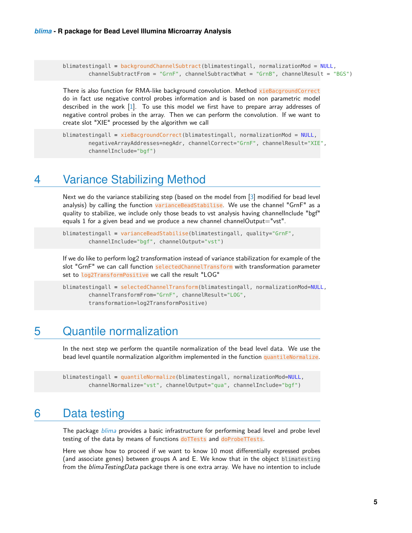```
blimatestingall = backgroundChannelSubtract(blimatestingall, normalizationMod = NULL,
        channelSubtractFrom = "GrnF", channelSubtractWhat = "GrnB", channelResult = "BGS")
```
There is also function for RMA-like background convolution. Method xieBacgroundCorrect do in fact use negative control probes information and is based on non parametric model described in the work [\[1\]](#page-8-0). To use this model we first have to prepare array addresses of negative control probes in the array. Then we can perform the convolution. If we want to create slot "XIE" processed by the algorithm we call

```
blimatestingall = xieBacgroundCorrect(blimatestingall, normalizationMod = NULL,
       negativeArrayAddresses=negAdr, channelCorrect="GrnF", channelResult="XIE",
       channelInclude="bgf")
```
#### 4 Variance Stabilizing Method

Next we do the variance stabilizing step (based on the model from [\[3\]](#page-8-2) modified for bead level analysis) by calling the function varianceBeadStabilise. We use the channel "GrnF" as a quality to stabilize, we include only those beads to vst analysis having channelInclude "bgf" equals 1 for a given bead and we produce a new channel channelOutput="vst".

```
blimatestingall = varianceBeadStabilise(blimatestingall, quality="GrnF",
       channelInclude="bgf", channelOutput="vst")
```
If we do like to perform log2 transformation instead of variance stabilization for example of the slot "GrnF" we can call function selectedChannelTransform with transformation parameter set to log2TransformPositive we call the result "LOG"

```
blimatestingall = selectedChannelTransform(blimatestingall, normalizationMod=NULL,
       channelTransformFrom="GrnF", channelResult="LOG",
       transformation=log2TransformPositive)
```
# 5 Quantile normalization

In the next step we perform the quantile normalization of the bead level data. We use the bead level quantile normalization algorithm implemented in the function quantileNormalize.

```
blimatestingall = quantileNormalize(blimatestingall, normalizationMod=NULL,
        channelNormalize="vst", channelOutput="qua", channelInclude="bgf")
```
#### 6 Data testing

The package *[blima](http://bioconductor.org/packages/blima)* provides a basic infrastructure for performing bead level and probe level testing of the data by means of functions doTTests and doProbeTTests.

Here we show how to proceed if we want to know 10 most differentially expressed probes (and associate genes) between groups A and E. We know that in the object blimatesting from the *blimaTestingData* package there is one extra array. We have no intention to include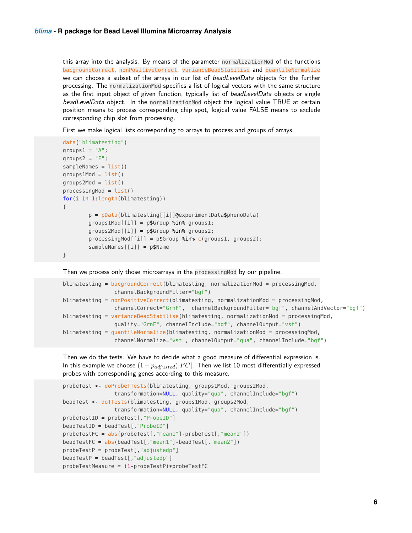this array into the analysis. By means of the parameter normalizationMod of the functions bacgroundCorrect, nonPositiveCorrect, varianceBeadStabilise and quantileNormalize we can choose a subset of the arrays in our list of *beadLevelData* objects for the further processing. The normalizationMod specifies a list of logical vectors with the same structure as the first input object of given function, typically list of *beadLevelData* objects or single beadLevelData object. In the normalizationMod object the logical value TRUE at certain position means to process corresponding chip spot, logical value FALSE means to exclude corresponding chip slot from processing.

First we make logical lists corresponding to arrays to process and groups of arrays.

```
data("blimatesting")
groups1 = "A";groups2 = "E";sampleNames = list()
groups1Mod = list()groups2Mod = list()processingMod = list()for(i in 1:length(blimatesting))
{
        p = pData(blimatesting[[i]]@experimentData$phenoData)
        groups1Mod[[i]] = p$Group %in% groups1;
        groups2Mod[[i]] = p$Group %in% groups2;
        processingMod[[i]] = p$Group %in% c(groups1, groups2);
        sampleNames[[i]] = p$Name
```
}

Then we process only those microarrays in the processingMod by our pipeline.

```
blimatesting = bacgroundCorrect(blimatesting, normalizationMod = processingMod,
               channelBackgroundFilter="bgf")
blimatesting = nonPositiveCorrect(blimatesting, normalizationMod = processingMod,
                channelCorrect="GrnF", channelBackgroundFilter="bgf", channelAndVector="bgf")
blimatesting = varianceBeadStabilise(blimatesting, normalizationMod = processingMod,
                quality="GrnF", channelInclude="bgf", channelOutput="vst")
blimatesting = quantileNormalize(blimatesting, normalizationMod = processingMod,
                channelNormalize="vst", channelOutput="qua", channelInclude="bgf")
```
Then we do the tests. We have to decide what a good measure of differential expression is. In this example we choose  $(1 - p_{adiusted})|FC|$ . Then we list 10 most differentially expressed probes with corresponding genes according to this measure.

```
probeTest <- doProbeTTests(blimatesting, groups1Mod, groups2Mod,
                transformation=NULL, quality="qua", channelInclude="bgf")
beadTest <- doTTests(blimatesting, groups1Mod, groups2Mod,
                transformation=NULL, quality="qua", channelInclude="bgf")
probeTestID = probeTest[,"ProbeID"]
beadTestID = beadTest[,"ProbeID"]
probeTestFC = abs(probeTest[,"mean1"]-probeTest[,"mean2"])
beadTestFC = abs(beadTest[,"mean1"]-beadTest[,"mean2"])
probeTestP = probeTest[,"adjustedp"]
beadTestP = beadTest[,"adjustedp"]
probeTestMeasure = (1-probeTestP)*probeTestFC
```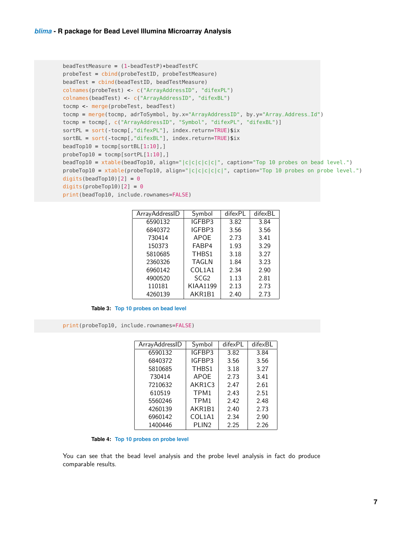```
beadTestMeasure = (1-beadTestP)*beadTestFC
probeTest = cbind(probeTestID, probeTestMeasure)
beadTest = cbind(beadTestID, beadTestMeasure)
colnames(probeTest) <- c("ArrayAddressID", "difexPL")
colnames(beadTest) <- c("ArrayAddressID", "difexBL")
tocmp <- merge(probeTest, beadTest)
tocmp = merge(tocmp, adrToSymbol, by.x="ArrayAddressID", by.y="Array_Address_Id")
tocmp = tocmp[, c("ArrayAddressID", "Symbol", "difexPL", "difexBL")]
sortPL = sort(-tocmp[,"difexPL"], index.return=TRUE)$ix
sortBL = sort(-tocmp[,"difexBL"], index.return=TRUE)$ix
beadTop10 = tocmp[sortBL[1:10],]probeTop10 = tocmp[sortPL[1:10],]beadTop10 = xtable(beadTop10, align="|c|c|c|c|c|", caption="Top 10 probes on bead level.")
probeTop10 = xtable(probeTop10, align='|c|c|c|c|', caption='Top 10 probes on probe level.")digits(beadTop10)[2] = 0digits(probeTop10)[2] = 0print(beadTop10, include.rownames=FALSE)
```

| ArrayAddressID | Symbol           | difexPL | difexBL |  |
|----------------|------------------|---------|---------|--|
| 6590132        | IGFBP3           | 3.82    | 3.84    |  |
| 6840372        | IGFBP3           | 3.56    | 3.56    |  |
| 730414         | APOE             | 2.73    | 3.41    |  |
| 150373         | FABP4            | 1.93    | 3.29    |  |
| 5810685        | THBS1            | 3.18    | 3.27    |  |
| 2360326        | <b>TAGLN</b>     | 1.84    | 3.23    |  |
| 6960142        | COL1A1           | 2.34    | 2.90    |  |
| 4900520        | SCG <sub>2</sub> | 1.13    | 2.81    |  |
| 110181         | <b>KIAA1199</b>  | 2.13    | 2.73    |  |
| 4260139        | AKR1B1           | 2.40    | 2.73    |  |

**Table 3: Top 10 probes on bead level**

print(probeTop10, include.rownames=FALSE)

| ArrayAddressID | Symbol            | difexPL | difexBL |  |
|----------------|-------------------|---------|---------|--|
| 6590132        | IGFBP3            | 3.82    | 3.84    |  |
| 6840372        | IGFBP3            | 3.56    | 3.56    |  |
| 5810685        | THBS1             | 3.18    | 3.27    |  |
| 730414         | <b>APOE</b>       | 2.73    | 3.41    |  |
| 7210632        | AKR1C3            | 2.47    | 2.61    |  |
| 610519         | TPM1              | 2.43    | 2.51    |  |
| 5560246        | TPM1              | 2.42    | 2.48    |  |
| 4260139        | AKR1B1            | 2.40    | 2.73    |  |
| 6960142        | COL1A1            | 2.34    | 2.90    |  |
| 1400446        | PLIN <sub>2</sub> | 2.25    | 2.26    |  |

**Table 4: Top 10 probes on probe level**

You can see that the bead level analysis and the probe level analysis in fact do produce comparable results.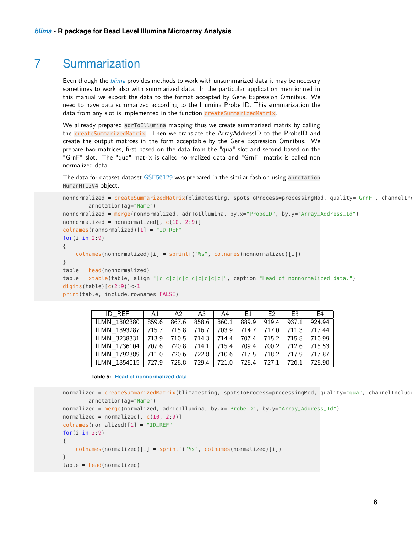### 7 Summarization

Even though the *[blima](http://bioconductor.org/packages/blima)* provides methods to work with unsummarized data it may be necesery sometimes to work also with summarized data. In the particular application mentionned in this manual we export the data to the format accepted by Gene Expression Omnibus. We need to have data summarized according to the Illumina Probe ID. This summarization the data from any slot is implemented in the function createSummarizedMatrix.

We allready prepared adrToIllumina mapping thus we create summarized matrix by calling the createSummarizedMatrix. Then we translate the ArrayAddressID to the ProbeID and create the output matrces in the form acceptable by the Gene Expression Omnibus. We prepare two matrices, first based on the data from the "qua" slot and second based on the "GrnF" slot. The "qua" matrix is called normalized data and "GrnF" matrix is called non normalized data.

The data for dataset dataset [GSE56129](http://www.ncbi.nlm.nih.gov/geo/query/acc.cgi?acc=GSE56129) was prepared in the similar fashion using annotation HumanHT12V4 object.

```
nonnormalized = createSummarizedMatrix(blimatesting, spotsToProcess=processingMod, quality="GrnF", channelIn
        annotationTag="Name")
nonnormalized = merge(nonnormalized, adrToIllumina, by.x="ProbeID", by.y="Array_Address_Id")
nonnormalized = nonnormalized[, c(10, 2:9)]
colnames(nonnormalized)[1] = "ID_REF"
for(i in 2:9){
    colnames(nonnormalized)[i] = sprint("s", colnames(nonnormalized)[i])}
table = head(nonnormalized)
table = xtable(table, align="|c|c|c|c|c|c|c|c|c|c|", caption="Head of nonnormalized data.")
digits(table)[c(2:9)]<1print(table, include.rownames=FALSE)
```

| ID REF   A1   A2   A3   A4   E1   E2   E3                                     |  |  |  | E <sub>4</sub> |
|-------------------------------------------------------------------------------|--|--|--|----------------|
| ILMN 1802380 859.6 867.6 858.6 860.1 889.9 919.4 937.1 924.94                 |  |  |  |                |
| ILMN 1893287   715.7   715.8   716.7   703.9   714.7   717.0   711.3   717.44 |  |  |  |                |
| ILMN 3238331   713.9   710.5   714.3   714.4   707.4   715.2   715.8   710.99 |  |  |  |                |
| ILMN 1736104   707.6   720.8   714.1   715.4   709.4   700.2   712.6   715.53 |  |  |  |                |
| ILMN 1792389   711.0   720.6   722.8   710.6   717.5   718.2   717.9   717.87 |  |  |  |                |
| ILMN 1854015   727.9   728.8   729.4   721.0   728.4   727.1   726.1   728.90 |  |  |  |                |

**Table 5: Head of nonnormalized data**

```
normalized = createSummarizedMatrix(blimatesting, spotsToProcess=processingMod, quality="qua", channelInclude
        annotationTag="Name")
normalized = merge(normalized, adrToIllumina, by.x="ProbeID", by.y="Array_Address_Id")
normalized = normalized[, c(10, 2:9)]colnames(normalized)[1] = "ID_REF"
for(i in 2:9)
{
    colnames(normalized)[i] = sprintf("%s", colnames(normalized)[i])
}
table = head(normalized)
```